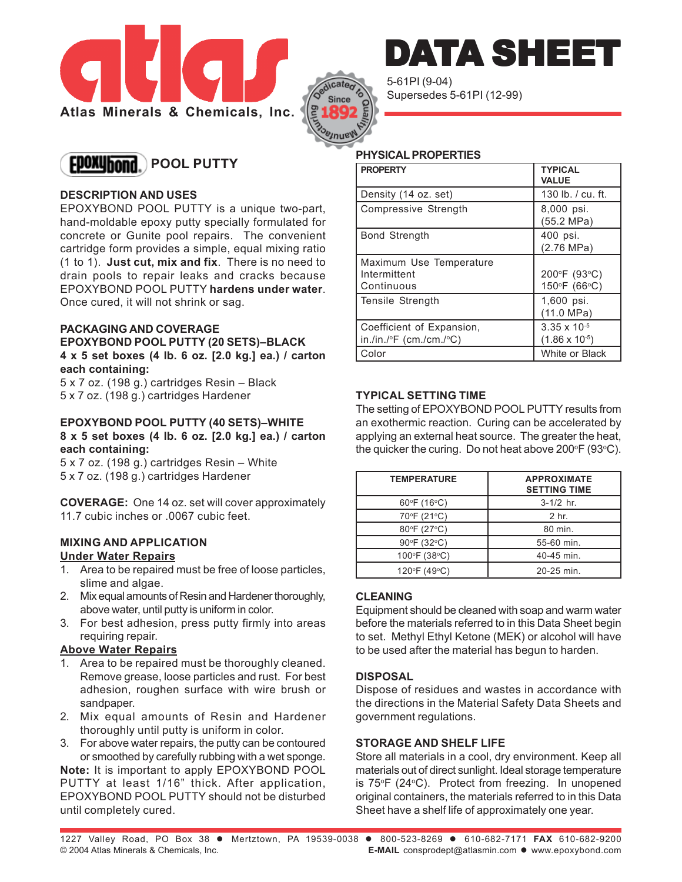



5-61PI (9-04) Supersedes 5-61PI (12-99)

# **EDOXUhond.** POOL PUTTY

# **DESCRIPTION AND USES**

EPOXYBOND POOL PUTTY is a unique two-part, hand-moldable epoxy putty specially formulated for concrete or Gunite pool repairs. The convenient cartridge form provides a simple, equal mixing ratio (1 to 1). **Just cut, mix and fix**. There is no need to drain pools to repair leaks and cracks because EPOXYBOND POOL PUTTY **hardens under water**. Once cured, it will not shrink or sag.

# **PACKAGING AND COVERAGE**

**EPOXYBOND POOL PUTTY (20 SETS)–BLACK 4 x 5 set boxes (4 lb. 6 oz. [2.0 kg.] ea.) / carton each containing:**

5 x 7 oz. (198 g.) cartridges Resin – Black 5 x 7 oz. (198 g.) cartridges Hardener

#### **EPOXYBOND POOL PUTTY (40 SETS)–WHITE 8 x 5 set boxes (4 lb. 6 oz. [2.0 kg.] ea.) / carton each containing:**

5 x 7 oz. (198 g.) cartridges Resin – White 5 x 7 oz. (198 g.) cartridges Hardener

**COVERAGE:** One 14 oz. set will cover approximately 11.7 cubic inches or .0067 cubic feet.

#### **MIXING AND APPLICATION Under Water Repairs**

- 1. Area to be repaired must be free of loose particles, slime and algae.
- 2. Mix equal amounts of Resin and Hardener thoroughly, above water, until putty is uniform in color.
- 3. For best adhesion, press putty firmly into areas requiring repair.

# **Above Water Repairs**

- 1. Area to be repaired must be thoroughly cleaned. Remove grease, loose particles and rust. For best adhesion, roughen surface with wire brush or sandpaper.
- 2. Mix equal amounts of Resin and Hardener thoroughly until putty is uniform in color.
- 3. For above water repairs, the putty can be contoured or smoothed by carefully rubbing with a wet sponge.

**Note:** It is important to apply EPOXYBOND POOL PUTTY at least 1/16" thick. After application, EPOXYBOND POOL PUTTY should not be disturbed until completely cured.

#### **PHYSICAL PROPERTIES**

| <b>PROPERTY</b>                                         | <b>TYPICAL</b><br><b>VALUE</b>                   |
|---------------------------------------------------------|--------------------------------------------------|
| Density (14 oz. set)                                    | 130 lb. $/$ cu. ft.                              |
| Compressive Strength                                    | 8,000 psi.<br>(55.2 MPa)                         |
| <b>Bond Strength</b>                                    | 400 psi.<br>(2.76 MPa)                           |
| Maximum Use Temperature<br>Intermittent<br>l Continuous | 200°F (93°C)<br>150°F (66°C)                     |
| Tensile Strength                                        | 1,600 psi.<br>(11.0 MPa)                         |
| Coefficient of Expansion,<br>  in./in./∘F (cm./cm./∘C)  | $3.35 \times 10^{-5}$<br>$(1.86 \times 10^{-5})$ |
| Color                                                   | White or Black                                   |

DATA SHEE'

# **TYPICAL SETTING TIME**

The setting of EPOXYBOND POOL PUTTY results from an exothermic reaction. Curing can be accelerated by applying an external heat source. The greater the heat, the quicker the curing. Do not heat above 200 $\mathrm{^{\circ}F}$  (93 $\mathrm{^{\circ}C}$ ).

| <b>TEMPERATURE</b> | <b>APPROXIMATE</b><br><b>SETTING TIME</b> |
|--------------------|-------------------------------------------|
| 60°F (16°C)        | $3-1/2$ hr.                               |
| 70°F (21°C)        | 2 <sub>hr</sub>                           |
| 80°F (27°C)        | 80 min.                                   |
| 90°F (32°C)        | 55-60 min.                                |
| 100°F (38°C)       | 40-45 min.                                |
| 120°F (49°C)       | 20-25 min.                                |

# **CLEANING**

Equipment should be cleaned with soap and warm water before the materials referred to in this Data Sheet begin to set. Methyl Ethyl Ketone (MEK) or alcohol will have to be used after the material has begun to harden.

# **DISPOSAL**

Dispose of residues and wastes in accordance with the directions in the Material Safety Data Sheets and government regulations.

# **STORAGE AND SHELF LIFE**

Store all materials in a cool, dry environment. Keep all materials out of direct sunlight. Ideal storage temperature is 75°F (24°C). Protect from freezing. In unopened original containers, the materials referred to in this Data Sheet have a shelf life of approximately one year.